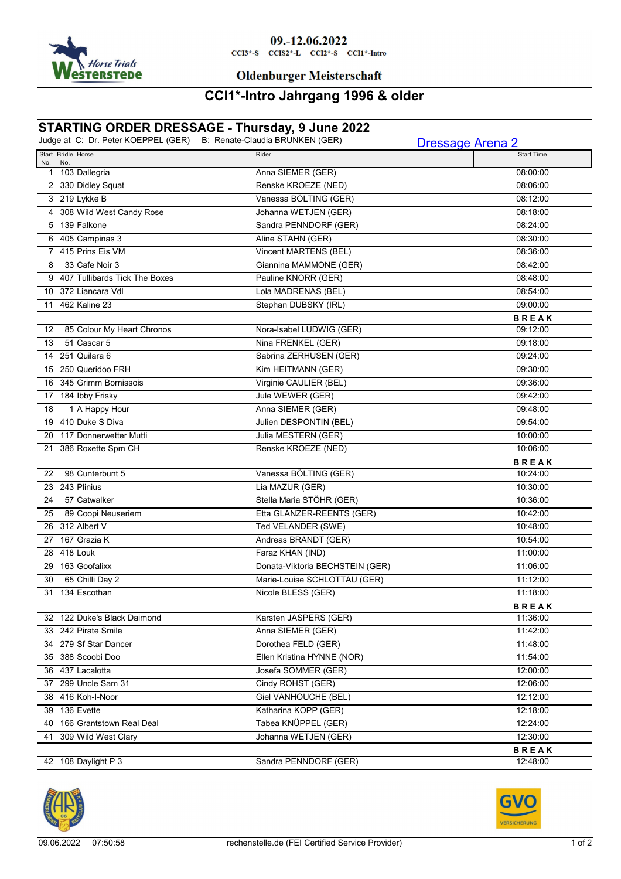

# 09.-12.06.2022

 $CCI3*-S$   $CCI52*-L$   $CCI2*-S$   $CCI1*-Intro$ 

### **Oldenburger Meisterschaft**

### **CCI1\*-Intro Jahrgang 1996 & older**

## **STARTING ORDER DRESSAGE - Thursday, 9 June 2022**

|     |                                 | Judge at C: Dr. Peter KOEPPEL (GER) B: Renate-Claudia BRUNKEN (GER) | <b>Dressage Arena 2</b>  |
|-----|---------------------------------|---------------------------------------------------------------------|--------------------------|
| No. | Start Bridle Horse<br>No.       | Rider                                                               | <b>Start Time</b>        |
|     | 1 103 Dallegria                 | Anna SIEMER (GER)                                                   | 08:00:00                 |
|     | 2 330 Didley Squat              | Renske KROEZE (NED)                                                 | 08:06:00                 |
|     | 3 219 Lykke B                   | Vanessa BÖLTING (GER)                                               | 08:12:00                 |
|     | 4 308 Wild West Candy Rose      | Johanna WETJEN (GER)                                                | 08:18:00                 |
|     | 5 139 Falkone                   | Sandra PENNDORF (GER)                                               | 08:24:00                 |
|     | 6 405 Campinas 3                | Aline STAHN (GER)                                                   | 08:30:00                 |
|     | 7 415 Prins Eis VM              | Vincent MARTENS (BEL)                                               | 08:36:00                 |
| 8   | 33 Cafe Noir 3                  | Giannina MAMMONE (GER)                                              | 08:42:00                 |
|     | 9 407 Tullibards Tick The Boxes | Pauline KNORR (GER)                                                 | 08:48:00                 |
|     | 10 372 Liancara Vdl             | Lola MADRENAS (BEL)                                                 | 08:54:00                 |
| 11  | 462 Kaline 23                   | Stephan DUBSKY (IRL)                                                | 09:00:00                 |
|     |                                 |                                                                     | <b>BREAK</b>             |
| 12  | 85 Colour My Heart Chronos      | Nora-Isabel LUDWIG (GER)                                            | 09:12:00                 |
| 13  | 51 Cascar 5                     | Nina FRENKEL (GER)                                                  | 09:18:00                 |
|     | 14 251 Quilara 6                | Sabrina ZERHUSEN (GER)                                              | 09:24:00                 |
|     | 15 250 Queridoo FRH             | Kim HEITMANN (GER)                                                  | 09:30:00                 |
|     | 16 345 Grimm Bornissois         | Virginie CAULIER (BEL)                                              | 09:36:00                 |
|     | 17 184 Ibby Frisky              | Jule WEWER (GER)                                                    | 09:42:00                 |
| 18  | 1 A Happy Hour                  | Anna SIEMER (GER)                                                   | 09:48:00                 |
|     | 19 410 Duke S Diva              | Julien DESPONTIN (BEL)                                              | 09:54:00                 |
|     | 20 117 Donnerwetter Mutti       | Julia MESTERN (GER)                                                 | 10:00:00                 |
| 21  | 386 Roxette Spm CH              | Renske KROEZE (NED)                                                 | 10:06:00                 |
|     |                                 |                                                                     | <b>BREAK</b>             |
| 22  | 98 Cunterbunt 5                 | Vanessa BÖLTING (GER)                                               | 10:24:00                 |
|     | 23 243 Plinius                  | Lia MAZUR (GER)                                                     | 10:30:00                 |
| 24  | 57 Catwalker                    | Stella Maria STÖHR (GER)                                            | 10:36:00                 |
| 25  | 89 Coopi Neuseriem              | Etta GLANZER-REENTS (GER)                                           | 10:42:00                 |
|     | 26 312 Albert V                 | Ted VELANDER (SWE)                                                  | 10:48:00                 |
|     | 27 167 Grazia K                 | Andreas BRANDT (GER)                                                | 10:54:00                 |
|     | 28 418 Louk                     | Faraz KHAN (IND)                                                    | 11:00:00                 |
|     | 29 163 Goofalixx                | Donata-Viktoria BECHSTEIN (GER)                                     | 11:06:00                 |
| 30  | 65 Chilli Day 2                 | Marie-Louise SCHLOTTAU (GER)                                        | 11:12:00                 |
|     | 31 134 Escothan                 | Nicole BLESS (GER)                                                  | 11:18:00                 |
|     | 32 122 Duke's Black Daimond     | Karsten JASPERS (GER)                                               | <b>BREAK</b><br>11:36:00 |
|     | 33 242 Pirate Smile             | Anna SIEMER (GER)                                                   | 11:42:00                 |
|     | 34 279 Sf Star Dancer           | Dorothea FELD (GER)                                                 | 11:48:00                 |
|     | 35 388 Scoobi Doo               | Ellen Kristina HYNNE (NOR)                                          | 11:54:00                 |
|     | 36 437 Lacalotta                | Josefa SOMMER (GER)                                                 | 12:00:00                 |
|     | 37 299 Uncle Sam 31             | Cindy ROHST (GER)                                                   | 12:06:00                 |
|     | 38 416 Koh-I-Noor               | Giel VANHOUCHE (BEL)                                                | 12:12:00                 |
|     | 39 136 Evette                   | Katharina KOPP (GER)                                                | 12:18:00                 |
|     | 40 166 Grantstown Real Deal     | Tabea KNÜPPEL (GER)                                                 | 12:24:00                 |
|     | 41 309 Wild West Clary          | Johanna WETJEN (GER)                                                | 12:30:00                 |
|     |                                 |                                                                     | <b>BREAK</b>             |
|     | 42 108 Daylight P 3             | Sandra PENNDORF (GER)                                               | 12:48:00                 |